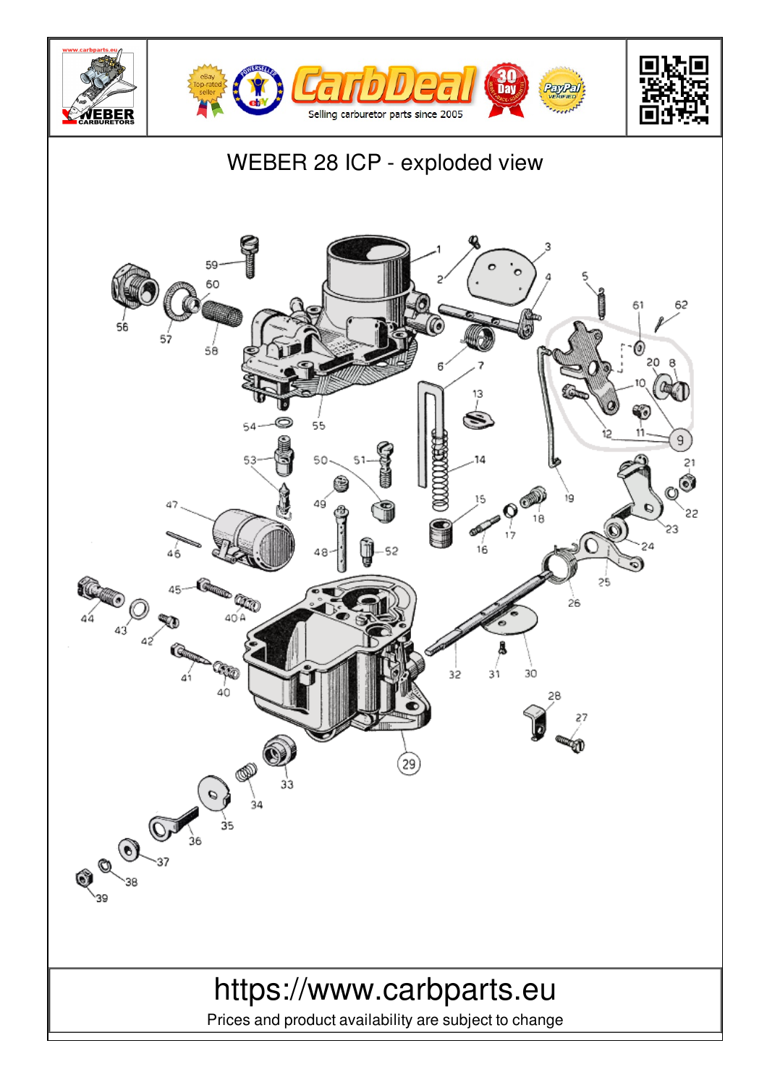